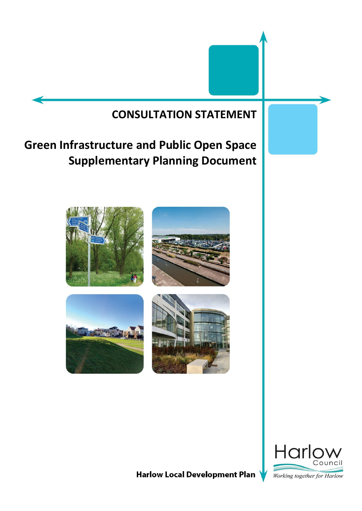# **CONSULTATION STATEMENT**

# **Green Infrastructure and Public Open Space Supplementary Planning Document**





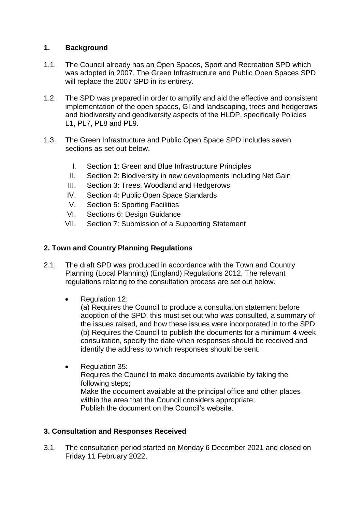## **1. Background**

- 1.1. The Council already has an Open Spaces, Sport and Recreation SPD which was adopted in 2007. The Green Infrastructure and Public Open Spaces SPD will replace the 2007 SPD in its entirety.
- 1.2. The SPD was prepared in order to amplify and aid the effective and consistent implementation of the open spaces, GI and landscaping, trees and hedgerows and biodiversity and geodiversity aspects of the HLDP, specifically Policies L1, PL7, PL8 and PL9.
- 1.3. The Green Infrastructure and Public Open Space SPD includes seven sections as set out below.
	- I. Section 1: Green and Blue Infrastructure Principles
	- II. Section 2: Biodiversity in new developments including Net Gain
	- III. Section 3: Trees, Woodland and Hedgerows
	- IV. Section 4: Public Open Space Standards
	- V. Section 5: Sporting Facilities
	- VI. Sections 6: Design Guidance
	- VII. Section 7: Submission of a Supporting Statement

### **2. Town and Country Planning Regulations**

- 2.1. The draft SPD was produced in accordance with the Town and Country Planning (Local Planning) (England) Regulations 2012. The relevant regulations relating to the consultation process are set out below.
	- Regulation 12:

(a) Requires the Council to produce a consultation statement before adoption of the SPD, this must set out who was consulted, a summary of the issues raised, and how these issues were incorporated in to the SPD. (b) Requires the Council to publish the documents for a minimum 4 week consultation, specify the date when responses should be received and identify the address to which responses should be sent.

• Regulation 35: Requires the Council to make documents available by taking the following steps; Make the document available at the principal office and other places within the area that the Council considers appropriate; Publish the document on the Council's website.

### **3. Consultation and Responses Received**

3.1. The consultation period started on Monday 6 December 2021 and closed on Friday 11 February 2022.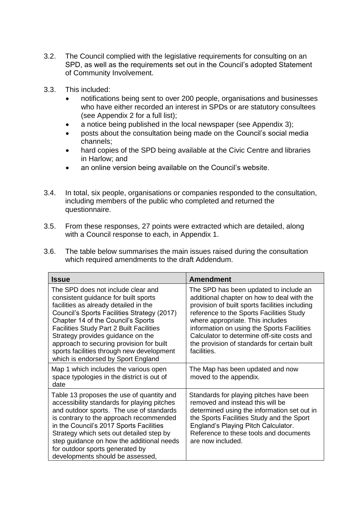- 3.2. The Council complied with the legislative requirements for consulting on an SPD, as well as the requirements set out in the Council's adopted Statement of Community Involvement.
- 3.3. This included:
	- notifications being sent to over 200 people, organisations and businesses who have either recorded an interest in SPDs or are statutory consultees (see Appendix 2 for a full list);
	- a notice being published in the local newspaper (see Appendix 3);
	- posts about the consultation being made on the Council's social media channels;
	- hard copies of the SPD being available at the Civic Centre and libraries in Harlow; and
	- an online version being available on the Council's website.
- 3.4. In total, six people, organisations or companies responded to the consultation, including members of the public who completed and returned the questionnaire.
- 3.5. From these responses, 27 points were extracted which are detailed, along with a Council response to each, in Appendix 1.
- 3.6. The table below summarises the main issues raised during the consultation which required amendments to the draft Addendum.

| <b>Issue</b>                                                                                                                                                                                                                                                                                                                                                                                                                    | <b>Amendment</b>                                                                                                                                                                                                                                                                                                                                                                  |
|---------------------------------------------------------------------------------------------------------------------------------------------------------------------------------------------------------------------------------------------------------------------------------------------------------------------------------------------------------------------------------------------------------------------------------|-----------------------------------------------------------------------------------------------------------------------------------------------------------------------------------------------------------------------------------------------------------------------------------------------------------------------------------------------------------------------------------|
| The SPD does not include clear and<br>consistent guidance for built sports<br>facilities as already detailed in the<br>Council's Sports Facilities Strategy (2017)<br>Chapter 14 of the Council's Sports<br><b>Facilities Study Part 2 Built Facilities</b><br>Strategy provides guidance on the<br>approach to securing provision for built<br>sports facilities through new development<br>which is endorsed by Sport England | The SPD has been updated to include an<br>additional chapter on how to deal with the<br>provision of built sports facilities including<br>reference to the Sports Facilities Study<br>where appropriate. This includes<br>information on using the Sports Facilities<br>Calculator to determine off-site costs and<br>the provision of standards for certain built<br>facilities. |
| Map 1 which includes the various open<br>space typologies in the district is out of<br>date                                                                                                                                                                                                                                                                                                                                     | The Map has been updated and now<br>moved to the appendix.                                                                                                                                                                                                                                                                                                                        |
| Table 13 proposes the use of quantity and<br>accessibility standards for playing pitches<br>and outdoor sports. The use of standards<br>is contrary to the approach recommended<br>in the Council's 2017 Sports Facilities<br>Strategy which sets out detailed step by<br>step guidance on how the additional needs<br>for outdoor sports generated by<br>developments should be assessed,                                      | Standards for playing pitches have been<br>removed and instead this will be<br>determined using the information set out in<br>the Sports Facilities Study and the Sport<br>England's Playing Pitch Calculator.<br>Reference to these tools and documents<br>are now included.                                                                                                     |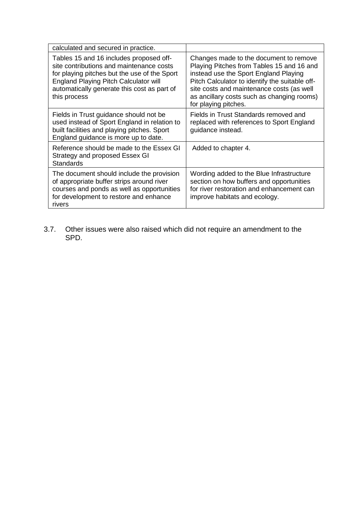| calculated and secured in practice.                                                                                                                                                                                                         |                                                                                                                                                                                                                                                                                                   |
|---------------------------------------------------------------------------------------------------------------------------------------------------------------------------------------------------------------------------------------------|---------------------------------------------------------------------------------------------------------------------------------------------------------------------------------------------------------------------------------------------------------------------------------------------------|
| Tables 15 and 16 includes proposed off-<br>site contributions and maintenance costs<br>for playing pitches but the use of the Sport<br>England Playing Pitch Calculator will<br>automatically generate this cost as part of<br>this process | Changes made to the document to remove<br>Playing Pitches from Tables 15 and 16 and<br>instead use the Sport England Playing<br>Pitch Calculator to identify the suitable off-<br>site costs and maintenance costs (as well<br>as ancillary costs such as changing rooms)<br>for playing pitches. |
| Fields in Trust guidance should not be<br>used instead of Sport England in relation to<br>built facilities and playing pitches. Sport<br>England guidance is more up to date.                                                               | Fields in Trust Standards removed and<br>replaced with references to Sport England<br>guidance instead.                                                                                                                                                                                           |
| Reference should be made to the Essex GI<br>Strategy and proposed Essex GI<br><b>Standards</b>                                                                                                                                              | Added to chapter 4.                                                                                                                                                                                                                                                                               |
| The document should include the provision<br>of appropriate buffer strips around river<br>courses and ponds as well as opportunities<br>for development to restore and enhance<br>rivers                                                    | Wording added to the Blue Infrastructure<br>section on how buffers and opportunities<br>for river restoration and enhancement can<br>improve habitats and ecology.                                                                                                                                |

3.7. Other issues were also raised which did not require an amendment to the SPD.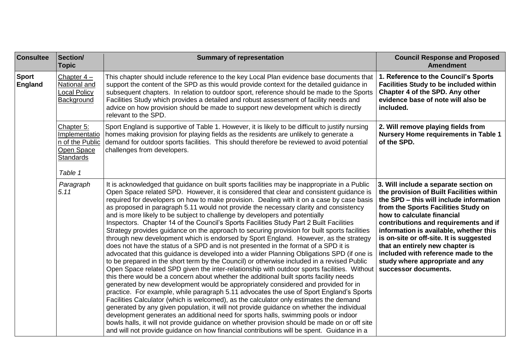| <b>Consultee</b>               | Section/<br><b>Topic</b>                                                             | <b>Summary of representation</b>                                                                                                                                                                                                                                                                                                                                                                                                                                                                                                                                                                                                                                                                                                                                                                                                                                                                                                                                                                                                                                                                                                                                                                                                                                                                                                                                                                                                                                                                                                                                                                                                                                                                                                                                                                                                                                                        | <b>Council Response and Proposed</b><br><b>Amendment</b>                                                                                                                                                                                                                                                                                                                                                                                                             |
|--------------------------------|--------------------------------------------------------------------------------------|-----------------------------------------------------------------------------------------------------------------------------------------------------------------------------------------------------------------------------------------------------------------------------------------------------------------------------------------------------------------------------------------------------------------------------------------------------------------------------------------------------------------------------------------------------------------------------------------------------------------------------------------------------------------------------------------------------------------------------------------------------------------------------------------------------------------------------------------------------------------------------------------------------------------------------------------------------------------------------------------------------------------------------------------------------------------------------------------------------------------------------------------------------------------------------------------------------------------------------------------------------------------------------------------------------------------------------------------------------------------------------------------------------------------------------------------------------------------------------------------------------------------------------------------------------------------------------------------------------------------------------------------------------------------------------------------------------------------------------------------------------------------------------------------------------------------------------------------------------------------------------------------|----------------------------------------------------------------------------------------------------------------------------------------------------------------------------------------------------------------------------------------------------------------------------------------------------------------------------------------------------------------------------------------------------------------------------------------------------------------------|
| <b>Sport</b><br><b>England</b> | Chapter $4-$<br>National and<br>ocal Policy<br>Background                            | This chapter should include reference to the key Local Plan evidence base documents that<br>support the content of the SPD as this would provide context for the detailed guidance in<br>subsequent chapters. In relation to outdoor sport, reference should be made to the Sports<br>Facilities Study which provides a detailed and robust assessment of facility needs and<br>advice on how provision should be made to support new development which is directly<br>relevant to the SPD.                                                                                                                                                                                                                                                                                                                                                                                                                                                                                                                                                                                                                                                                                                                                                                                                                                                                                                                                                                                                                                                                                                                                                                                                                                                                                                                                                                                             | 1. Reference to the Council's Sports<br><b>Facilities Study to be included within</b><br>Chapter 4 of the SPD. Any other<br>evidence base of note will also be<br>included.                                                                                                                                                                                                                                                                                          |
|                                | Chapter 5:<br>Implementatio<br>n of the Public<br>Open Space<br>Standards<br>Table 1 | Sport England is supportive of Table 1. However, it is likely to be difficult to justify nursing<br>homes making provision for playing fields as the residents are unlikely to generate a<br>demand for outdoor sports facilities. This should therefore be reviewed to avoid potential<br>challenges from developers.                                                                                                                                                                                                                                                                                                                                                                                                                                                                                                                                                                                                                                                                                                                                                                                                                                                                                                                                                                                                                                                                                                                                                                                                                                                                                                                                                                                                                                                                                                                                                                  | 2. Will remove playing fields from<br><b>Nursery Home requirements in Table 1</b><br>of the SPD.                                                                                                                                                                                                                                                                                                                                                                     |
|                                | Paragraph<br>5.11                                                                    | It is acknowledged that guidance on built sports facilities may be inappropriate in a Public<br>Open Space related SPD. However, it is considered that clear and consistent guidance is<br>required for developers on how to make provision. Dealing with it on a case by case basis<br>as proposed in paragraph 5.11 would not provide the necessary clarity and consistency<br>and is more likely to be subject to challenge by developers and potentially<br>Inspectors. Chapter 14 of the Council's Sports Facilities Study Part 2 Built Facilities<br>Strategy provides guidance on the approach to securing provision for built sports facilities<br>through new development which is endorsed by Sport England. However, as the strategy<br>does not have the status of a SPD and is not presented in the format of a SPD it is<br>advocated that this guidance is developed into a wider Planning Obligations SPD (if one is<br>to be prepared in the short term by the Council) or otherwise included in a revised Public<br>Open Space related SPD given the inter-relationship with outdoor sports facilities. Without<br>this there would be a concern about whether the additional built sports facility needs<br>generated by new development would be appropriately considered and provided for in<br>practice. For example, while paragraph 5.11 advocates the use of Sport England's Sports<br>Facilities Calculator (which is welcomed), as the calculator only estimates the demand<br>generated by any given population, it will not provide guidance on whether the individual<br>development generates an additional need for sports halls, swimming pools or indoor<br>bowls halls, it will not provide guidance on whether provision should be made on or off site<br>and will not provide guidance on how financial contributions will be spent. Guidance in a | 3. Will include a separate section on<br>the provision of Built Facilities within<br>the SPD - this will include information<br>from the Sports Facilities Study on<br>how to calculate financial<br>contributions and requirements and if<br>information is available, whether this<br>is on-site or off-site. It is suggested<br>that an entirely new chapter is<br>included with reference made to the<br>study where appropriate and any<br>successor documents. |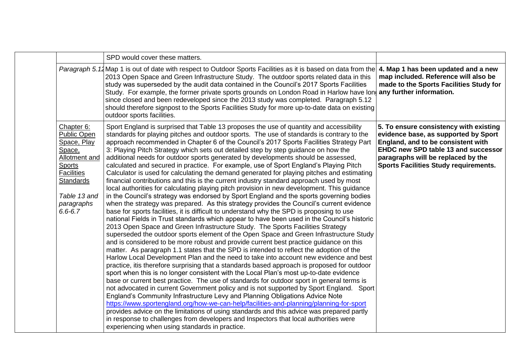|                                                                                                                                                                                   | SPD would cover these matters.                                                                                                                                                                                                                                                                                                                                                                                                                                                                                                                                                                                                                                                                                                                                                                                                                                                                                                                                                                                                                                                                                                                                                                                                                                                                                                                                                                                                                                                                                                                                                                                                                                                                                                                                                                                                                                                                                                                                                                                                                                                                                                                                                                                                                                                                                                                                                                                                                                                              |                                                                                                                                                                                                                                                          |
|-----------------------------------------------------------------------------------------------------------------------------------------------------------------------------------|---------------------------------------------------------------------------------------------------------------------------------------------------------------------------------------------------------------------------------------------------------------------------------------------------------------------------------------------------------------------------------------------------------------------------------------------------------------------------------------------------------------------------------------------------------------------------------------------------------------------------------------------------------------------------------------------------------------------------------------------------------------------------------------------------------------------------------------------------------------------------------------------------------------------------------------------------------------------------------------------------------------------------------------------------------------------------------------------------------------------------------------------------------------------------------------------------------------------------------------------------------------------------------------------------------------------------------------------------------------------------------------------------------------------------------------------------------------------------------------------------------------------------------------------------------------------------------------------------------------------------------------------------------------------------------------------------------------------------------------------------------------------------------------------------------------------------------------------------------------------------------------------------------------------------------------------------------------------------------------------------------------------------------------------------------------------------------------------------------------------------------------------------------------------------------------------------------------------------------------------------------------------------------------------------------------------------------------------------------------------------------------------------------------------------------------------------------------------------------------------|----------------------------------------------------------------------------------------------------------------------------------------------------------------------------------------------------------------------------------------------------------|
|                                                                                                                                                                                   | Paragraph 5.14 Map 1 is out of date with respect to Outdoor Sports Facilities as it is based on data from the<br>2013 Open Space and Green Infrastructure Study. The outdoor sports related data in this<br>study was superseded by the audit data contained in the Council's 2017 Sports Facilities<br>Study. For example, the former private sports grounds on London Road in Harlow have lon<br>since closed and been redeveloped since the 2013 study was completed. Paragraph 5.12<br>should therefore signpost to the Sports Facilities Study for more up-to-date data on existing<br>outdoor sports facilities.                                                                                                                                                                                                                                                                                                                                                                                                                                                                                                                                                                                                                                                                                                                                                                                                                                                                                                                                                                                                                                                                                                                                                                                                                                                                                                                                                                                                                                                                                                                                                                                                                                                                                                                                                                                                                                                                      | 4. Map 1 has been updated and a new<br>map included. Reference will also be<br>made to the Sports Facilities Study for<br>any further information.                                                                                                       |
| Chapter 6:<br><b>Public Open</b><br>Space, Play<br>Space,<br>Allotment and<br><b>Sports</b><br><b>Facilities</b><br><b>Standards</b><br>Table 13 and<br>paragraphs<br>$6.6 - 6.7$ | Sport England is surprised that Table 13 proposes the use of quantity and accessibility<br>standards for playing pitches and outdoor sports. The use of standards is contrary to the<br>approach recommended in Chapter 6 of the Council's 2017 Sports Facilities Strategy Part<br>3: Playing Pitch Strategy which sets out detailed step by step guidance on how the<br>additional needs for outdoor sports generated by developments should be assessed,<br>calculated and secured in practice. For example, use of Sport England's Playing Pitch<br>Calculator is used for calculating the demand generated for playing pitches and estimating<br>financial contributions and this is the current industry standard approach used by most<br>local authorities for calculating playing pitch provision in new development. This quidance<br>in the Council's strategy was endorsed by Sport England and the sports governing bodies<br>when the strategy was prepared. As this strategy provides the Council's current evidence<br>base for sports facilities, it is difficult to understand why the SPD is proposing to use<br>national Fields in Trust standards which appear to have been used in the Council's historic<br>2013 Open Space and Green Infrastructure Study. The Sports Facilities Strategy<br>superseded the outdoor sports element of the Open Space and Green Infrastructure Study<br>and is considered to be more robust and provide current best practice guidance on this<br>matter. As paragraph 1.1 states that the SPD is intended to reflect the adoption of the<br>Harlow Local Development Plan and the need to take into account new evidence and best<br>practice, itis therefore surprising that a standards based approach is proposed for outdoor<br>sport when this is no longer consistent with the Local Plan's most up-to-date evidence<br>base or current best practice. The use of standards for outdoor sport in general terms is<br>not advocated in current Government policy and is not supported by Sport England. Sport<br>England's Community Infrastructure Levy and Planning Obligations Advice Note<br>https://www.sportengland.org/how-we-can-help/facilities-and-planning/planning-for-sport<br>provides advice on the limitations of using standards and this advice was prepared partly<br>in response to challenges from developers and Inspectors that local authorities were<br>experiencing when using standards in practice. | 5. To ensure consistency with existing<br>evidence base, as supported by Sport<br>England, and to be consistent with<br><b>EHDC new SPD table 13 and successor</b><br>paragraphs will be replaced by the<br><b>Sports Facilities Study requirements.</b> |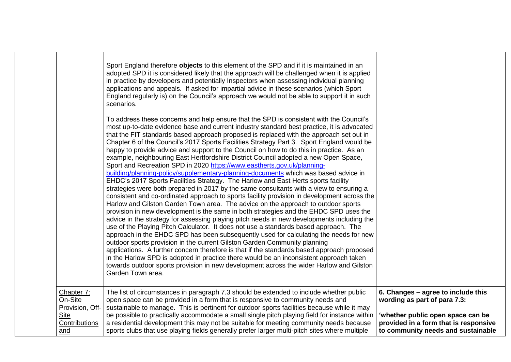|                                                                          | Sport England therefore objects to this element of the SPD and if it is maintained in an<br>adopted SPD it is considered likely that the approach will be challenged when it is applied<br>in practice by developers and potentially Inspectors when assessing individual planning<br>applications and appeals. If asked for impartial advice in these scenarios (which Sport<br>England regularly is) on the Council's approach we would not be able to support it in such                                                                                                                                                                                                                                                                                                                                                                                                                                |                                                                                                                                                                                        |
|--------------------------------------------------------------------------|------------------------------------------------------------------------------------------------------------------------------------------------------------------------------------------------------------------------------------------------------------------------------------------------------------------------------------------------------------------------------------------------------------------------------------------------------------------------------------------------------------------------------------------------------------------------------------------------------------------------------------------------------------------------------------------------------------------------------------------------------------------------------------------------------------------------------------------------------------------------------------------------------------|----------------------------------------------------------------------------------------------------------------------------------------------------------------------------------------|
|                                                                          | scenarios.<br>To address these concerns and help ensure that the SPD is consistent with the Council's<br>most up-to-date evidence base and current industry standard best practice, it is advocated<br>that the FIT standards based approach proposed is replaced with the approach set out in<br>Chapter 6 of the Council's 2017 Sports Facilities Strategy Part 3. Sport England would be<br>happy to provide advice and support to the Council on how to do this in practice. As an<br>example, neighbouring East Hertfordshire District Council adopted a new Open Space,                                                                                                                                                                                                                                                                                                                              |                                                                                                                                                                                        |
|                                                                          | Sport and Recreation SPD in 2020 https://www.eastherts.gov.uk/planning-<br>building/planning-policy/supplementary-planning-documents which was based advice in<br>EHDC's 2017 Sports Facilities Strategy. The Harlow and East Herts sports facility<br>strategies were both prepared in 2017 by the same consultants with a view to ensuring a<br>consistent and co-ordinated approach to sports facility provision in development across the<br>Harlow and Gilston Garden Town area. The advice on the approach to outdoor sports<br>provision in new development is the same in both strategies and the EHDC SPD uses the<br>advice in the strategy for assessing playing pitch needs in new developments including the<br>use of the Playing Pitch Calculator. It does not use a standards based approach. The<br>approach in the EHDC SPD has been subsequently used for calculating the needs for new |                                                                                                                                                                                        |
|                                                                          | outdoor sports provision in the current Gilston Garden Community planning<br>applications. A further concern therefore is that if the standards based approach proposed<br>in the Harlow SPD is adopted in practice there would be an inconsistent approach taken<br>towards outdoor sports provision in new development across the wider Harlow and Gilston<br>Garden Town area.                                                                                                                                                                                                                                                                                                                                                                                                                                                                                                                          |                                                                                                                                                                                        |
| Chapter 7:<br>On-Site<br>Provision, Off-<br>Site<br>Contributions<br>and | The list of circumstances in paragraph 7.3 should be extended to include whether public<br>open space can be provided in a form that is responsive to community needs and<br>sustainable to manage. This is pertinent for outdoor sports facilities because while it may<br>be possible to practically accommodate a small single pitch playing field for instance within<br>a residential development this may not be suitable for meeting community needs because<br>sports clubs that use playing fields generally prefer larger multi-pitch sites where multiple                                                                                                                                                                                                                                                                                                                                       | 6. Changes - agree to include this<br>wording as part of para 7.3:<br>'whether public open space can be<br>provided in a form that is responsive<br>to community needs and sustainable |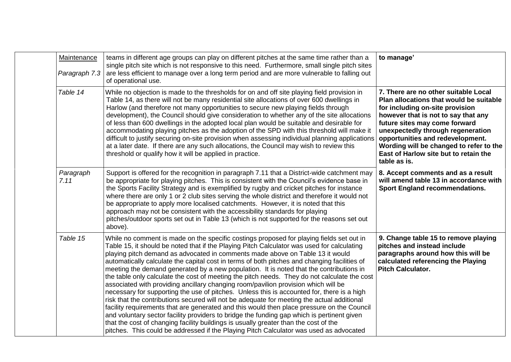| <b>Maintenance</b><br>Paragraph 7.3 | teams in different age groups can play on different pitches at the same time rather than a<br>single pitch site which is not responsive to this need. Furthermore, small single pitch sites<br>are less efficient to manage over a long term period and are more vulnerable to falling out<br>of operational use.                                                                                                                                                                                                                                                                                                                                                                                                                                                                                                                                                                                                                                                                                                                                                                                                                                                                                                                  | to manage'                                                                                                                                                                                                                                                                                                                                                              |
|-------------------------------------|------------------------------------------------------------------------------------------------------------------------------------------------------------------------------------------------------------------------------------------------------------------------------------------------------------------------------------------------------------------------------------------------------------------------------------------------------------------------------------------------------------------------------------------------------------------------------------------------------------------------------------------------------------------------------------------------------------------------------------------------------------------------------------------------------------------------------------------------------------------------------------------------------------------------------------------------------------------------------------------------------------------------------------------------------------------------------------------------------------------------------------------------------------------------------------------------------------------------------------|-------------------------------------------------------------------------------------------------------------------------------------------------------------------------------------------------------------------------------------------------------------------------------------------------------------------------------------------------------------------------|
| Table 14                            | While no objection is made to the thresholds for on and off site playing field provision in<br>Table 14, as there will not be many residential site allocations of over 600 dwellings in<br>Harlow (and therefore not many opportunities to secure new playing fields through<br>development), the Council should give consideration to whether any of the site allocations<br>of less than 600 dwellings in the adopted local plan would be suitable and desirable for<br>accommodating playing pitches as the adoption of the SPD with this threshold will make it<br>difficult to justify securing on-site provision when assessing individual planning applications<br>at a later date. If there are any such allocations, the Council may wish to review this<br>threshold or qualify how it will be applied in practice.                                                                                                                                                                                                                                                                                                                                                                                                     | 7. There are no other suitable Local<br>Plan allocations that would be suitable<br>for including on-site provision<br>however that is not to say that any<br>future sites may come forward<br>unexpectedly through regeneration<br>opportunities and redevelopment.<br>Wording will be changed to refer to the<br>East of Harlow site but to retain the<br>table as is. |
| Paragraph<br>7.11                   | Support is offered for the recognition in paragraph 7.11 that a District-wide catchment may<br>be appropriate for playing pitches. This is consistent with the Council's evidence base in<br>the Sports Facility Strategy and is exemplified by rugby and cricket pitches for instance<br>where there are only 1 or 2 club sites serving the whole district and therefore it would not<br>be appropriate to apply more localised catchments. However, it is noted that this<br>approach may not be consistent with the accessibility standards for playing<br>pitches/outdoor sports set out in Table 13 (which is not supported for the reasons set out<br>above).                                                                                                                                                                                                                                                                                                                                                                                                                                                                                                                                                                | 8. Accept comments and as a result<br>will amend table 13 in accordance with<br><b>Sport England recommendations.</b>                                                                                                                                                                                                                                                   |
| Table 15                            | While no comment is made on the specific costings proposed for playing fields set out in<br>Table 15, it should be noted that if the Playing Pitch Calculator was used for calculating<br>playing pitch demand as advocated in comments made above on Table 13 it would<br>automatically calculate the capital cost in terms of both pitches and changing facilities of<br>meeting the demand generated by a new population. It is noted that the contributions in<br>the table only calculate the cost of meeting the pitch needs. They do not calculate the cost<br>associated with providing ancillary changing room/pavilion provision which will be<br>necessary for supporting the use of pitches. Unless this is accounted for, there is a high<br>risk that the contributions secured will not be adequate for meeting the actual additional<br>facility requirements that are generated and this would then place pressure on the Council<br>and voluntary sector facility providers to bridge the funding gap which is pertinent given<br>that the cost of changing facility buildings is usually greater than the cost of the<br>pitches. This could be addressed if the Playing Pitch Calculator was used as advocated | 9. Change table 15 to remove playing<br>pitches and instead include<br>paragraphs around how this will be<br>calculated referencing the Playing<br><b>Pitch Calculator.</b>                                                                                                                                                                                             |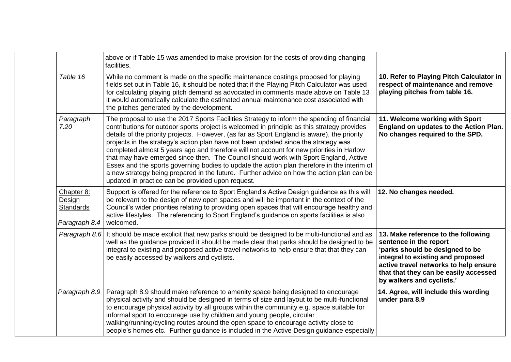|                                                           | above or if Table 15 was amended to make provision for the costs of providing changing<br>facilities.                                                                                                                                                                                                                                                                                                                                                                                                                                                                                                                                                                                                                                                                                                                 |                                                                                                                                                                                                                                                      |
|-----------------------------------------------------------|-----------------------------------------------------------------------------------------------------------------------------------------------------------------------------------------------------------------------------------------------------------------------------------------------------------------------------------------------------------------------------------------------------------------------------------------------------------------------------------------------------------------------------------------------------------------------------------------------------------------------------------------------------------------------------------------------------------------------------------------------------------------------------------------------------------------------|------------------------------------------------------------------------------------------------------------------------------------------------------------------------------------------------------------------------------------------------------|
| Table 16                                                  | While no comment is made on the specific maintenance costings proposed for playing<br>fields set out in Table 16, it should be noted that if the Playing Pitch Calculator was used<br>for calculating playing pitch demand as advocated in comments made above on Table 13<br>it would automatically calculate the estimated annual maintenance cost associated with<br>the pitches generated by the development.                                                                                                                                                                                                                                                                                                                                                                                                     | 10. Refer to Playing Pitch Calculator in<br>respect of maintenance and remove<br>playing pitches from table 16.                                                                                                                                      |
| Paragraph<br>7.20                                         | The proposal to use the 2017 Sports Facilities Strategy to inform the spending of financial<br>contributions for outdoor sports project is welcomed in principle as this strategy provides<br>details of the priority projects. However, (as far as Sport England is aware), the priority<br>projects in the strategy's action plan have not been updated since the strategy was<br>completed almost 5 years ago and therefore will not account for new priorities in Harlow<br>that may have emerged since then. The Council should work with Sport England, Active<br>Essex and the sports governing bodies to update the action plan therefore in the interim of<br>a new strategy being prepared in the future. Further advice on how the action plan can be<br>updated in practice can be provided upon request. | 11. Welcome working with Sport<br>England on updates to the Action Plan.<br>No changes required to the SPD.                                                                                                                                          |
| Chapter 8:<br>Design<br><b>Standards</b><br>Paragraph 8.4 | Support is offered for the reference to Sport England's Active Design guidance as this will<br>be relevant to the design of new open spaces and will be important in the context of the<br>Council's wider priorities relating to providing open spaces that will encourage healthy and<br>active lifestyles. The referencing to Sport England's guidance on sports facilities is also<br>welcomed.                                                                                                                                                                                                                                                                                                                                                                                                                   | 12. No changes needed.                                                                                                                                                                                                                               |
|                                                           | Paragraph 8.6 It should be made explicit that new parks should be designed to be multi-functional and as<br>well as the guidance provided it should be made clear that parks should be designed to be<br>integral to existing and proposed active travel networks to help ensure that that they can<br>be easily accessed by walkers and cyclists.                                                                                                                                                                                                                                                                                                                                                                                                                                                                    | 13. Make reference to the following<br>sentence in the report<br>'parks should be designed to be<br>integral to existing and proposed<br>active travel networks to help ensure<br>that that they can be easily accessed<br>by walkers and cyclists.' |
| Paragraph 8.9                                             | Paragraph 8.9 should make reference to amenity space being designed to encourage<br>physical activity and should be designed in terms of size and layout to be multi-functional<br>to encourage physical activity by all groups within the community e.g. space suitable for<br>informal sport to encourage use by children and young people, circular<br>walking/running/cycling routes around the open space to encourage activity close to<br>people's homes etc. Further guidance is included in the Active Design guidance especially                                                                                                                                                                                                                                                                            | 14. Agree, will include this wording<br>under para 8.9                                                                                                                                                                                               |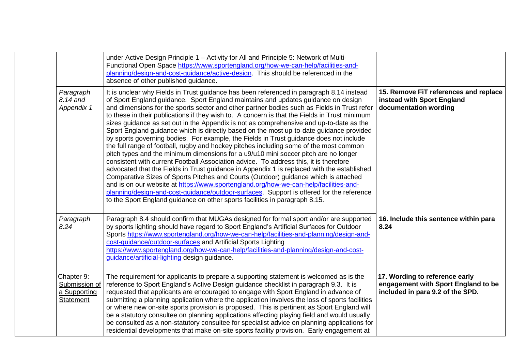|                                                          | under Active Design Principle 1 - Activity for All and Principle 5: Network of Multi-<br>Functional Open Space https://www.sportengland.org/how-we-can-help/facilities-and-<br>planning/design-and-cost-guidance/active-design. This should be referenced in the<br>absence of other published guidance.                                                                                                                                                                                                                                                                                                                                                                                                                                                                                                                                                                                                                                                                                                                                                                                                                                                                                                                                                                                                                                                                                         |                                                                                                           |
|----------------------------------------------------------|--------------------------------------------------------------------------------------------------------------------------------------------------------------------------------------------------------------------------------------------------------------------------------------------------------------------------------------------------------------------------------------------------------------------------------------------------------------------------------------------------------------------------------------------------------------------------------------------------------------------------------------------------------------------------------------------------------------------------------------------------------------------------------------------------------------------------------------------------------------------------------------------------------------------------------------------------------------------------------------------------------------------------------------------------------------------------------------------------------------------------------------------------------------------------------------------------------------------------------------------------------------------------------------------------------------------------------------------------------------------------------------------------|-----------------------------------------------------------------------------------------------------------|
| Paragraph<br>8.14 and<br>Appendix 1                      | It is unclear why Fields in Trust guidance has been referenced in paragraph 8.14 instead<br>of Sport England guidance. Sport England maintains and updates guidance on design<br>and dimensions for the sports sector and other partner bodies such as Fields in Trust refer<br>to these in their publications if they wish to. A concern is that the Fields in Trust minimum<br>sizes guidance as set out in the Appendix is not as comprehensive and up-to-date as the<br>Sport England guidance which is directly based on the most up-to-date guidance provided<br>by sports governing bodies. For example, the Fields in Trust guidance does not include<br>the full range of football, rugby and hockey pitches including some of the most common<br>pitch types and the minimum dimensions for a u9/u10 mini soccer pitch are no longer<br>consistent with current Football Association advice. To address this, it is therefore<br>advocated that the Fields in Trust guidance in Appendix 1 is replaced with the established<br>Comparative Sizes of Sports Pitches and Courts (Outdoor) guidance which is attached<br>and is on our website at https://www.sportengland.org/how-we-can-help/facilities-and-<br>planning/design-and-cost-guidance/outdoor-surfaces. Support is offered for the reference<br>to the Sport England guidance on other sports facilities in paragraph 8.15. | 15. Remove FiT references and replace<br>instead with Sport England<br>documentation wording              |
| Paragraph<br>8.24                                        | Paragraph 8.4 should confirm that MUGAs designed for formal sport and/or are supported<br>by sports lighting should have regard to Sport England's Artificial Surfaces for Outdoor<br>Sports https://www.sportengland.org/how-we-can-help/facilities-and-planning/design-and-<br>cost-guidance/outdoor-surfaces and Artificial Sports Lighting<br>https://www.sportengland.org/how-we-can-help/facilities-and-planning/design-and-cost-<br>guidance/artificial-lighting design guidance.                                                                                                                                                                                                                                                                                                                                                                                                                                                                                                                                                                                                                                                                                                                                                                                                                                                                                                         | 16. Include this sentence within para<br>8.24                                                             |
| Chapter 9:<br>Submission of<br>a Supporting<br>Statement | The requirement for applicants to prepare a supporting statement is welcomed as is the<br>reference to Sport England's Active Design guidance checklist in paragraph 9.3. It is<br>requested that applicants are encouraged to engage with Sport England in advance of<br>submitting a planning application where the application involves the loss of sports facilities<br>or where new on-site sports provision is proposed. This is pertinent as Sport England will<br>be a statutory consultee on planning applications affecting playing field and would usually<br>be consulted as a non-statutory consultee for specialist advice on planning applications for<br>residential developments that make on-site sports facility provision. Early engagement at                                                                                                                                                                                                                                                                                                                                                                                                                                                                                                                                                                                                                               | 17. Wording to reference early<br>engagement with Sport England to be<br>included in para 9.2 of the SPD. |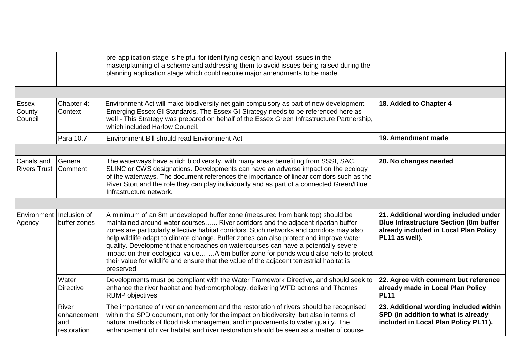|                                    |                                            | pre-application stage is helpful for identifying design and layout issues in the<br>masterplanning of a scheme and addressing them to avoid issues being raised during the<br>planning application stage which could require major amendments to be made.                                                                                                                                                                                                                                                                                                                                                                                         |                                                                                                                                                   |
|------------------------------------|--------------------------------------------|---------------------------------------------------------------------------------------------------------------------------------------------------------------------------------------------------------------------------------------------------------------------------------------------------------------------------------------------------------------------------------------------------------------------------------------------------------------------------------------------------------------------------------------------------------------------------------------------------------------------------------------------------|---------------------------------------------------------------------------------------------------------------------------------------------------|
|                                    |                                            |                                                                                                                                                                                                                                                                                                                                                                                                                                                                                                                                                                                                                                                   |                                                                                                                                                   |
| Essex<br>County<br>Council         | Chapter 4:<br>Context                      | Environment Act will make biodiversity net gain compulsory as part of new development<br>Emerging Essex GI Standards. The Essex GI Strategy needs to be referenced here as<br>well - This Strategy was prepared on behalf of the Essex Green Infrastructure Partnership,<br>which included Harlow Council.                                                                                                                                                                                                                                                                                                                                        | 18. Added to Chapter 4                                                                                                                            |
|                                    | Para 10.7                                  | Environment Bill should read Environment Act                                                                                                                                                                                                                                                                                                                                                                                                                                                                                                                                                                                                      | 19. Amendment made                                                                                                                                |
|                                    |                                            |                                                                                                                                                                                                                                                                                                                                                                                                                                                                                                                                                                                                                                                   |                                                                                                                                                   |
| Canals and<br><b>Rivers Trust</b>  | General<br>Comment                         | The waterways have a rich biodiversity, with many areas benefiting from SSSI, SAC,<br>SLINC or CWS designations. Developments can have an adverse impact on the ecology<br>of the waterways. The document references the importance of linear corridors such as the<br>River Stort and the role they can play individually and as part of a connected Green/Blue<br>Infrastructure network.                                                                                                                                                                                                                                                       | 20. No changes needed                                                                                                                             |
|                                    |                                            |                                                                                                                                                                                                                                                                                                                                                                                                                                                                                                                                                                                                                                                   |                                                                                                                                                   |
| Environment Inclusion of<br>Agency | buffer zones                               | A minimum of an 8m undeveloped buffer zone (measured from bank top) should be<br>maintained around water courses River corridors and the adjacent riparian buffer<br>zones are particularly effective habitat corridors. Such networks and corridors may also<br>help wildlife adapt to climate change. Buffer zones can also protect and improve water<br>quality. Development that encroaches on watercourses can have a potentially severe<br>impact on their ecological valueA 5m buffer zone for ponds would also help to protect<br>their value for wildlife and ensure that the value of the adjacent terrestrial habitat is<br>preserved. | 21. Additional wording included under<br><b>Blue Infrastructure Section (8m buffer</b><br>already included in Local Plan Policy<br>PL11 as well). |
|                                    | Water<br><b>Directive</b>                  | Developments must be compliant with the Water Framework Directive, and should seek to<br>enhance the river habitat and hydromorphology, delivering WFD actions and Thames<br><b>RBMP</b> objectives                                                                                                                                                                                                                                                                                                                                                                                                                                               | 22. Agree with comment but reference<br>already made in Local Plan Policy<br><b>PL11</b>                                                          |
|                                    | River<br>enhancement<br>and<br>restoration | The importance of river enhancement and the restoration of rivers should be recognised<br>within the SPD document, not only for the impact on biodiversity, but also in terms of<br>natural methods of flood risk management and improvements to water quality. The<br>enhancement of river habitat and river restoration should be seen as a matter of course                                                                                                                                                                                                                                                                                    | 23. Additional wording included within<br>SPD (in addition to what is already<br>included in Local Plan Policy PL11).                             |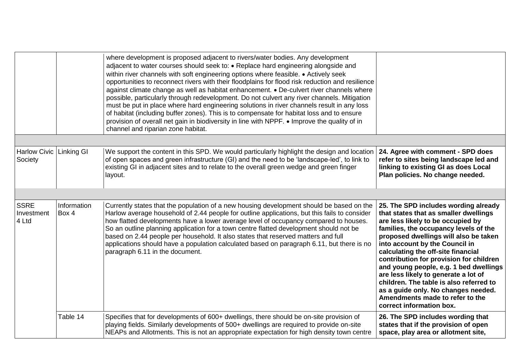|                                    |                      | where development is proposed adjacent to rivers/water bodies. Any development<br>adjacent to water courses should seek to: • Replace hard engineering alongside and<br>within river channels with soft engineering options where feasible. • Actively seek<br>opportunities to reconnect rivers with their floodplains for flood risk reduction and resilience<br>against climate change as well as habitat enhancement. • De-culvert river channels where<br>possible, particularly through redevelopment. Do not culvert any river channels. Mitigation<br>must be put in place where hard engineering solutions in river channels result in any loss<br>of habitat (including buffer zones). This is to compensate for habitat loss and to ensure<br>provision of overall net gain in biodiversity in line with NPPF. • Improve the quality of in<br>channel and riparian zone habitat. |                                                                                                                                                                                                                                                                                                                                                                                                                                                                                                                                                            |
|------------------------------------|----------------------|---------------------------------------------------------------------------------------------------------------------------------------------------------------------------------------------------------------------------------------------------------------------------------------------------------------------------------------------------------------------------------------------------------------------------------------------------------------------------------------------------------------------------------------------------------------------------------------------------------------------------------------------------------------------------------------------------------------------------------------------------------------------------------------------------------------------------------------------------------------------------------------------|------------------------------------------------------------------------------------------------------------------------------------------------------------------------------------------------------------------------------------------------------------------------------------------------------------------------------------------------------------------------------------------------------------------------------------------------------------------------------------------------------------------------------------------------------------|
| <b>Harlow Civic</b><br>Society     | Linking GI           | We support the content in this SPD. We would particularly highlight the design and location<br>of open spaces and green infrastructure (GI) and the need to be 'landscape-led', to link to<br>existing GI in adjacent sites and to relate to the overall green wedge and green finger<br>layout.                                                                                                                                                                                                                                                                                                                                                                                                                                                                                                                                                                                            | 24. Agree with comment - SPD does<br>refer to sites being landscape led and<br>linking to existing GI as does Local<br>Plan policies. No change needed.                                                                                                                                                                                                                                                                                                                                                                                                    |
|                                    |                      |                                                                                                                                                                                                                                                                                                                                                                                                                                                                                                                                                                                                                                                                                                                                                                                                                                                                                             |                                                                                                                                                                                                                                                                                                                                                                                                                                                                                                                                                            |
| <b>SSRE</b><br>Investment<br>4 Ltd | Information<br>Box 4 | Currently states that the population of a new housing development should be based on the<br>Harlow average household of 2.44 people for outline applications, but this fails to consider<br>how flatted developments have a lower average level of occupancy compared to houses.<br>So an outline planning application for a town centre flatted development should not be<br>based on 2.44 people per household. It also states that reserved matters and full<br>applications should have a population calculated based on paragraph 6.11, but there is no<br>paragraph 6.11 in the document.                                                                                                                                                                                                                                                                                             | 25. The SPD includes wording already<br>that states that as smaller dwellings<br>are less likely to be occupied by<br>families, the occupancy levels of the<br>proposed dwellings will also be taken<br>into account by the Council in<br>calculating the off-site financial<br>contribution for provision for children<br>and young people, e.g. 1 bed dwellings<br>are less likely to generate a lot of<br>children. The table is also referred to<br>as a guide only. No changes needed.<br>Amendments made to refer to the<br>correct information box. |
|                                    | Table 14             | Specifies that for developments of 600+ dwellings, there should be on-site provision of<br>playing fields. Similarly developments of 500+ dwellings are required to provide on-site<br>NEAPs and Allotments. This is not an appropriate expectation for high density town centre                                                                                                                                                                                                                                                                                                                                                                                                                                                                                                                                                                                                            | 26. The SPD includes wording that<br>states that if the provision of open<br>space, play area or allotment site,                                                                                                                                                                                                                                                                                                                                                                                                                                           |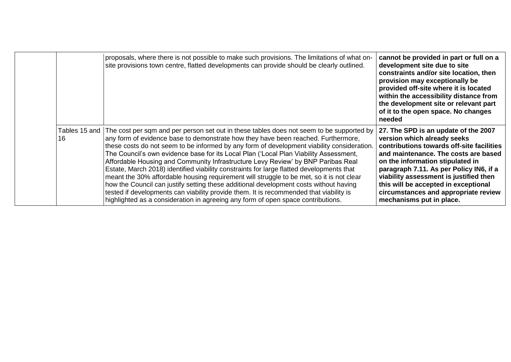|    | proposals, where there is not possible to make such provisions. The limitations of what on-<br>site provisions town centre, flatted developments can provide should be clearly outlined.                                                                                                                                                                                                                                                                                                                                                                                                                                                                                                                                                                                                                                                                                                                                              | cannot be provided in part or full on a<br>development site due to site<br>constraints and/or site location, then<br>provision may exceptionally be<br>provided off-site where it is located<br>within the accessibility distance from<br>the development site or relevant part<br>of it to the open space. No changes<br>needed                                                              |
|----|---------------------------------------------------------------------------------------------------------------------------------------------------------------------------------------------------------------------------------------------------------------------------------------------------------------------------------------------------------------------------------------------------------------------------------------------------------------------------------------------------------------------------------------------------------------------------------------------------------------------------------------------------------------------------------------------------------------------------------------------------------------------------------------------------------------------------------------------------------------------------------------------------------------------------------------|-----------------------------------------------------------------------------------------------------------------------------------------------------------------------------------------------------------------------------------------------------------------------------------------------------------------------------------------------------------------------------------------------|
| 16 | Tables 15 and The cost per sqm and per person set out in these tables does not seem to be supported by<br>any form of evidence base to demonstrate how they have been reached. Furthermore,<br>these costs do not seem to be informed by any form of development viability consideration.<br>The Council's own evidence base for its Local Plan ('Local Plan Viability Assessment,<br>Affordable Housing and Community Infrastructure Levy Review' by BNP Paribas Real<br>Estate, March 2018) identified viability constraints for large flatted developments that<br>meant the 30% affordable housing requirement will struggle to be met, so it is not clear<br>how the Council can justify setting these additional development costs without having<br>tested if developments can viability provide them. It is recommended that viability is<br>highlighted as a consideration in agreeing any form of open space contributions. | 27. The SPD is an update of the 2007<br>version which already seeks<br>contributions towards off-site facilities<br>and maintenance. The costs are based<br>on the information stipulated in<br>paragraph 7.11. As per Policy IN6, if a<br>viability assessment is justified then<br>this will be accepted in exceptional<br>circumstances and appropriate review<br>mechanisms put in place. |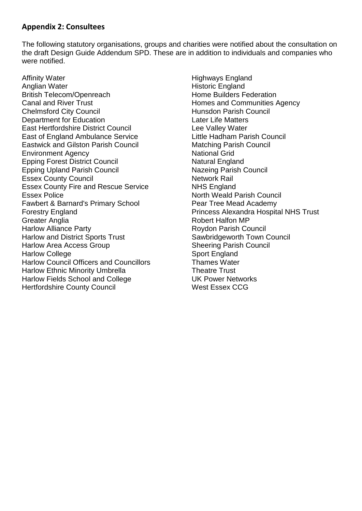# **Appendix 2: Consultees**

The following statutory organisations, groups and charities were notified about the consultation on the draft Design Guide Addendum SPD. These are in addition to individuals and companies who were notified.

Affinity Water Anglian Water British Telecom/Openreach Canal and River Trust Chelmsford City Council Department for Education East Hertfordshire District Council East of England Ambulance Service Eastwick and Gilston Parish Council Environment Agency Epping Forest District Council Epping Upland Parish Council Essex County Council Essex County Fire and Rescue Service Essex Police Fawbert & Barnard's Primary School Forestry England Greater Anglia Harlow Alliance Party Harlow and District Sports Trust Harlow Area Access Group Harlow College Harlow Council Officers and Councillors Harlow Ethnic Minority Umbrella Harlow Fields School and College Hertfordshire County Council

Highways England Historic England Home Builders Federation Homes and Communities Agency Hunsdon Parish Council Later Life Matters Lee Valley Water Little Hadham Parish Council Matching Parish Council National Grid Natural England Nazeing Parish Council Network Rail NHS England North Weald Parish Council Pear Tree Mead Academy Princess Alexandra Hospital NHS Trust Robert Halfon MP Roydon Parish Council Sawbridgeworth Town Council Sheering Parish Council Sport England Thames Water Theatre Trust UK Power Networks West Essex CCG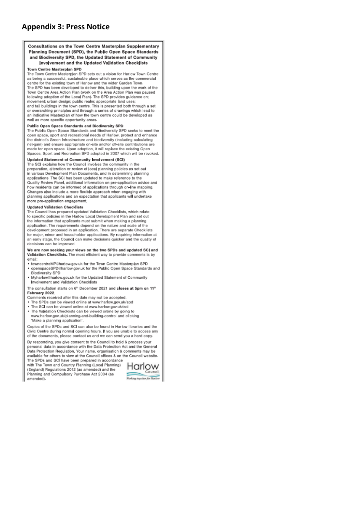# **Appendix 3: Press Notice**

#### Consultations on the Town Centre Masterplan Supplementary Planning Document (SPD), the Public Open Space Standards and Biodiversity SPD, the Updated Statement of Community Involvement and the Updated Validation Checklists

#### **Town Centre Masterplan SPD**

The Town Centre Masterplan SPD sets out a vision for Harlow Town Centre as being a successful, sustainable place which serves as the commercial centre for the existing town of Harlow and the wider Garden Town. The SPD has been developed to deliver this, building upon the work of the Town Centre Area Action Plan (work on the Area Action Plan was paused following adoption of the Local Plan). The SPD provides guidance on; movement; urban design; public realm; appropriate land uses; and tall buildings in the town centre. This is presented both through a set or overarching principles and through a series of drawings which lead to an indicative Masterplan of how the town centre could be developed as well as more specific opportunity areas.

#### Public Open Space Standards and Biodiversity SPD

The Public Open Space Standards and Biodiversity SPD seeks to meet the open space, sport and recreational needs of Harlow, protect and enhance the district's Green Infrastructure and biodiversity (including calculating net-gain) and ensure appropriate on-site and/or off-site contributions are made for open space. Upon adoption, it will replace the existing Open Spaces, Sport and Recreation SPD adopted in 2007 which will be revoked.

#### Updated Statement of Community Involvement (SCI)

The SCI explains how the Council involves the community in the preparation, alteration or review of local planning policies as set out in various Development Plan Documents, and in determining planning applications. The SCI has been updated to make reference to the Quality Review Panel, additional information on pre-application advice and how residents can be informed of applications through on-line mapping. Changes also include a more flexible approach when engaging with planning applications and an expectation that applicants will undertake more pre-application engagement.

#### **Updated Validation Checklists**

The Council has prepared updated Validation Checklists, which relate to specific policies in the Harlow Local Development Plan and set out the information that applicants must submit when making a planning application. The requirements depend on the nature and scale of the development proposed in an application. There are separate Checklists for major, minor and householder applications. By requiring information at an early stage, the Council can make decisions quicker and the quality of decisions can be improved.

#### We are now seeking your views on the two SPDs and updated SCI and Validation Checklists. The most efficient way to provide comments is by email:

- . towncentreMP@harlow.gov.uk for the Town Centre Masterplan SPD · openspaceSPD@harlow.gov.uk for the Public Open Space Standards and Biodiversity SPD
- Myharlow#harlow.gov.uk for the Updated Statement of Community Involvement and Validation Checklists

The consultation starts on 6<sup>th</sup> December 2021 and closes at 5pm on 11<sup>th</sup> February 2022.

- Comments received after this date may not be accepted.
- . The SPDs can be viewed online at www.harlow.gov.uk/spd
- The SCI can be viewed online at www.harlow.gov.uk/sci . The Validation Checklists can be viewed online by going to www.harlow.gov.uk/planning-and-building-control and clicking 'Make a planning application'.

Copies of the SPDs and SCI can also be found in Harlow libraries and the Civic Centre during normal opening hours. If you are unable to access any of the documents, please contact us and we can send you a hard copy.

By responding, you give consent to the Council to hold & process your personal data in accordance with the Data Protection Act and the General Data Protection Regulation, Your name, organisation & comments may be available for others to view at the Council offices & on the Council website. The SPDs and SCI have been prepared in accordance

with The Town and Country Planning (Local Planning) (England) Regulations 2012 (as amended) and the Planning and Compulsory Purchase Act 2004 (as amended).